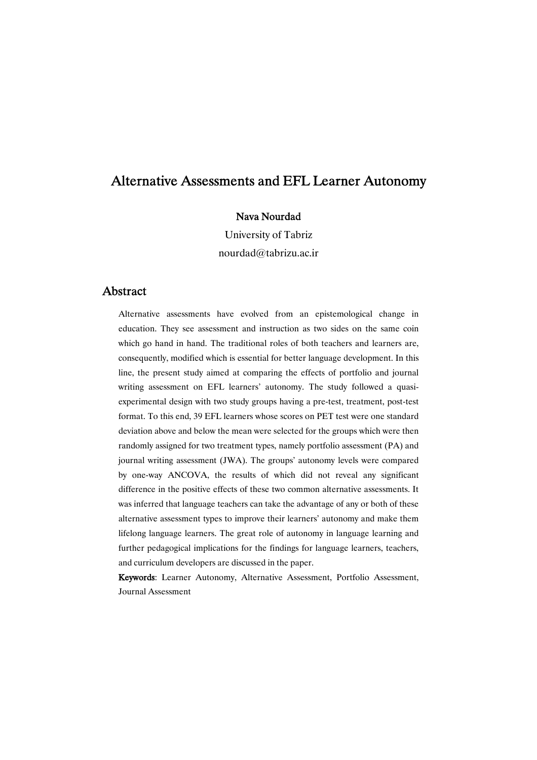### Nava Nourdad

University of Tabriz nourdad@tabrizu.ac.ir

### Abstract

Alternative assessments have evolved from an epistemological change in education. They see assessment and instruction as two sides on the same coin which go hand in hand. The traditional roles of both teachers and learners are, consequently, modified which is essential for better language development. In this line, the present study aimed at comparing the effects of portfolio and journal writing assessment on EFL learners' autonomy. The study followed a quasiexperimental design with two study groups having a pre-test, treatment, post-test format. To this end, 39 EFL learners whose scores on PET test were one standard deviation above and below the mean were selected for the groups which were then randomly assigned for two treatment types, namely portfolio assessment (PA) and journal writing assessment (JWA). The groups' autonomy levels were compared by one-way ANCOVA, the results of which did not reveal any significant difference in the positive effects of these two common alternative assessments. It was inferred that language teachers can take the advantage of any or both of these alternative assessment types to improve their learners' autonomy and make them lifelong language learners. The great role of autonomy in language learning and further pedagogical implications for the findings for language learners, teachers, and curriculum developers are discussed in the paper.

Keywords: Learner Autonomy, Alternative Assessment, Portfolio Assessment, Journal Assessment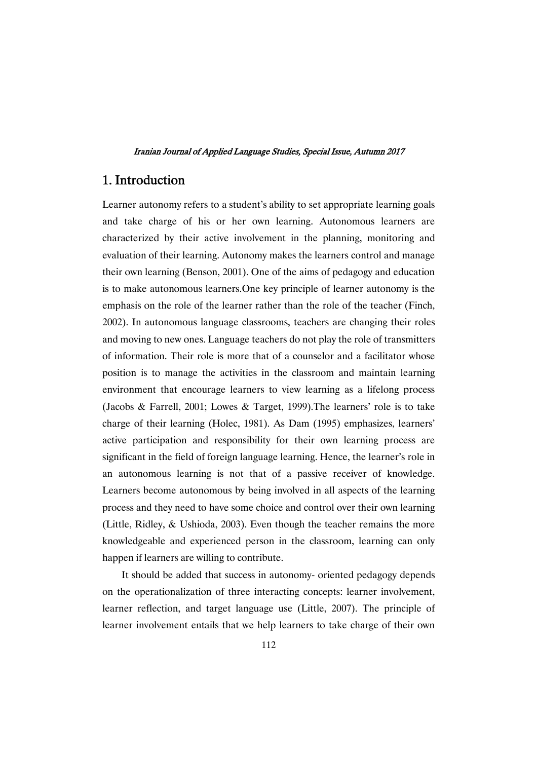## 1.Introduction

Learner autonomy refers to a student's ability to set appropriate learning goals and take charge of his or her own learning. Autonomous learners are characterized by their active involvement in the planning, monitoring and evaluation of their learning. Autonomy makes the learners control and manage their own learning (Benson, 2001). One of the aims of pedagogy and education is to make autonomous learners.One key principle of learner autonomy is the emphasis on the role of the learner rather than the role of the teacher (Finch, 2002). In autonomous language classrooms, teachers are changing their roles and moving to new ones. Language teachers do not play the role of transmitters of information. Their role is more that of a counselor and a facilitator whose position is to manage the activities in the classroom and maintain learning environment that encourage learners to view learning as a lifelong process (Jacobs & Farrell, 2001; Lowes & Target, 1999).The learners' role is to take charge of their learning (Holec, 1981). As Dam (1995) emphasizes, learners' active participation and responsibility for their own learning process are significant in the field of foreign language learning. Hence, the learner's role in an autonomous learning is not that of a passive receiver of knowledge. Learners become autonomous by being involved in all aspects of the learning process and they need to have some choice and control over their own learning (Little, Ridley, & Ushioda, 2003). Even though the teacher remains the more knowledgeable and experienced person in the classroom, learning can only happen if learners are willing to contribute.

It should be added that success in autonomy- oriented pedagogy depends on the operationalization of three interacting concepts: learner involvement, learner reflection, and target language use (Little, 2007). The principle of learner involvement entails that we help learners to take charge of their own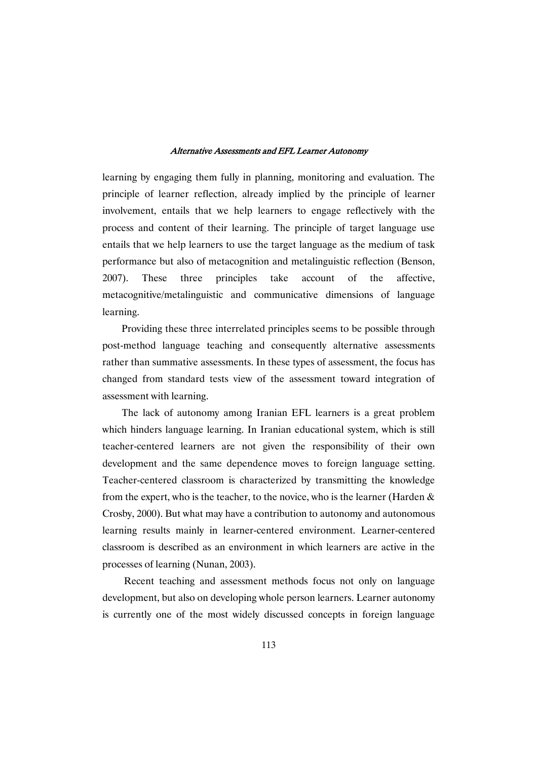learning by engaging them fully in planning, monitoring and evaluation. The principle of learner reflection, already implied by the principle of learner involvement, entails that we help learners to engage reflectively with the process and content of their learning. The principle of target language use entails that we help learners to use the target language as the medium of task performance but also of metacognition and metalinguistic reflection (Benson, 2007). These three principles take account of the affective, metacognitive/metalinguistic and communicative dimensions of language learning.

Providing these three interrelated principles seems to be possible through post-method language teaching and consequently alternative assessments rather than summative assessments. In these types of assessment, the focus has changed from standard tests view of the assessment toward integration of assessment with learning.

The lack of autonomy among Iranian EFL learners is a great problem which hinders language learning. In Iranian educational system, which is still teacher-centered learners are not given the responsibility of their own development and the same dependence moves to foreign language setting. Teacher-centered classroom is characterized by transmitting the knowledge from the expert, who is the teacher, to the novice, who is the learner (Harden  $\&$ Crosby, 2000). But what may have a contribution to autonomy and autonomous learning results mainly in learner-centered environment. Learner-centered classroom is described as an environment in which learners are active in the processes of learning (Nunan, 2003).

Recent teaching and assessment methods focus not only on language development, but also on developing whole person learners. Learner autonomy is currently one of the most widely discussed concepts in foreign language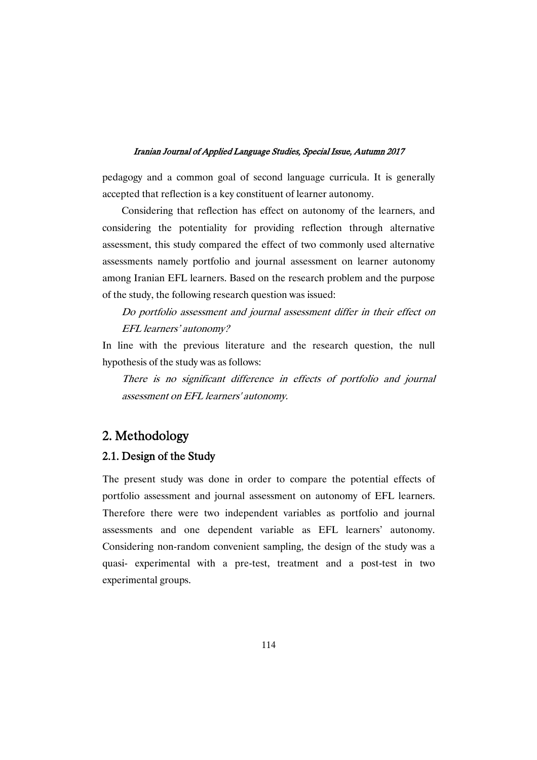pedagogy and a common goal of second language curricula. It is generally accepted that reflection is a key constituent of learner autonomy.

Considering that reflection has effect on autonomy of the learners, and considering the potentiality for providing reflection through alternative assessment, this study compared the effect of two commonly used alternative assessments namely portfolio and journal assessment on learner autonomy among Iranian EFL learners. Based on the research problem and the purpose of the study, the following research question was issued:

## Do portfolio assessment and journal assessment differ in their effect on EFL learners' autonomy?

In line with the previous literature and the research question, the null hypothesis of the study was as follows:

There is no significant difference in effects of portfolio and journal assessment on EFL learners' autonomy.

## 2.Methodology

### 2.1. Design of the Study

The present study was done in order to compare the potential effects of portfolio assessment and journal assessment on autonomy of EFL learners. Therefore there were two independent variables as portfolio and journal assessments and one dependent variable as EFL learners' autonomy. Considering non-random convenient sampling, the design of the study was a quasi- experimental with a pre-test, treatment and a post-test in two experimental groups.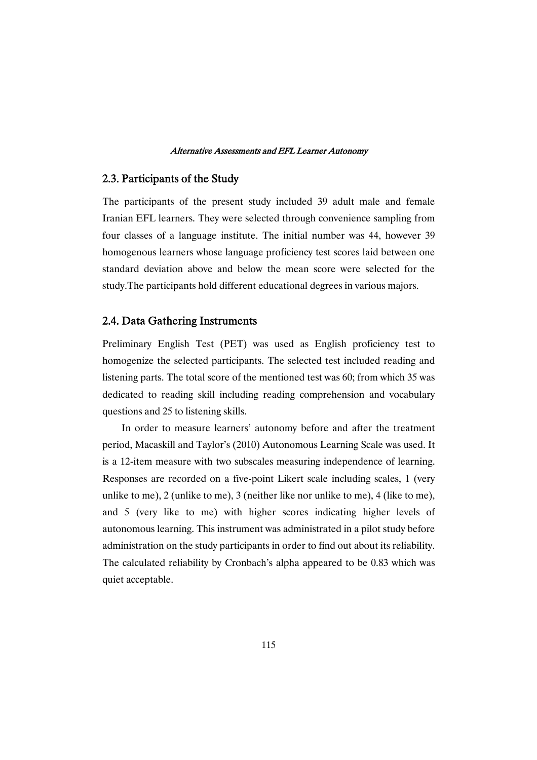### 2.3. Participants of the Study

The participants of the present study included 39 adult male and female Iranian EFL learners. They were selected through convenience sampling from four classes of a language institute. The initial number was 44, however 39 homogenous learners whose language proficiency test scores laid between one standard deviation above and below the mean score were selected for the study.The participants hold different educational degrees in various majors.

### 2.4. Data Gathering Instruments

Preliminary English Test (PET) was used as English proficiency test to homogenize the selected participants. The selected test included reading and listening parts. The total score of the mentioned test was 60; from which 35 was dedicated to reading skill including reading comprehension and vocabulary questions and 25 to listening skills.

In order to measure learners' autonomy before and after the treatment period, Macaskill and Taylor's (2010) Autonomous Learning Scale was used. It is a 12-item measure with two subscales measuring independence of learning. Responses are recorded on a five-point Likert scale including scales, 1 (very unlike to me), 2 (unlike to me), 3 (neither like nor unlike to me), 4 (like to me), and 5 (very like to me) with higher scores indicating higher levels of autonomous learning. This instrument was administrated in a pilot study before administration on the study participants in order to find out about its reliability. The calculated reliability by Cronbach's alpha appeared to be 0.83 which was quiet acceptable.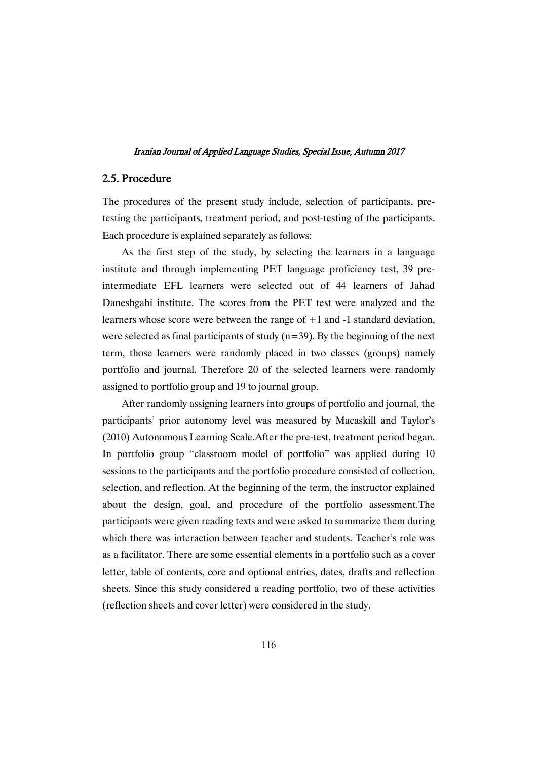### 2.5.Procedure

The procedures of the present study include, selection of participants, pretesting the participants, treatment period, and post-testing of the participants. Each procedure is explained separately as follows:

As the first step of the study, by selecting the learners in a language institute and through implementing PET language proficiency test, 39 preintermediate EFL learners were selected out of 44 learners of Jahad Daneshgahi institute. The scores from the PET test were analyzed and the learners whose score were between the range of +1 and -1 standard deviation, were selected as final participants of study  $(n=39)$ . By the beginning of the next term, those learners were randomly placed in two classes (groups) namely portfolio and journal. Therefore 20 of the selected learners were randomly assigned to portfolio group and 19 to journal group.

After randomly assigning learners into groups of portfolio and journal, the participants' prior autonomy level was measured by Macaskill and Taylor's (2010) Autonomous Learning Scale.After the pre-test, treatment period began. In portfolio group "classroom model of portfolio" was applied during 10 sessions to the participants and the portfolio procedure consisted of collection, selection, and reflection. At the beginning of the term, the instructor explained about the design, goal, and procedure of the portfolio assessment.The participants were given reading texts and were asked to summarize them during which there was interaction between teacher and students. Teacher's role was as a facilitator. There are some essential elements in a portfolio such as a cover letter, table of contents, core and optional entries, dates, drafts and reflection sheets. Since this study considered a reading portfolio, two of these activities (reflection sheets and cover letter) were considered in the study.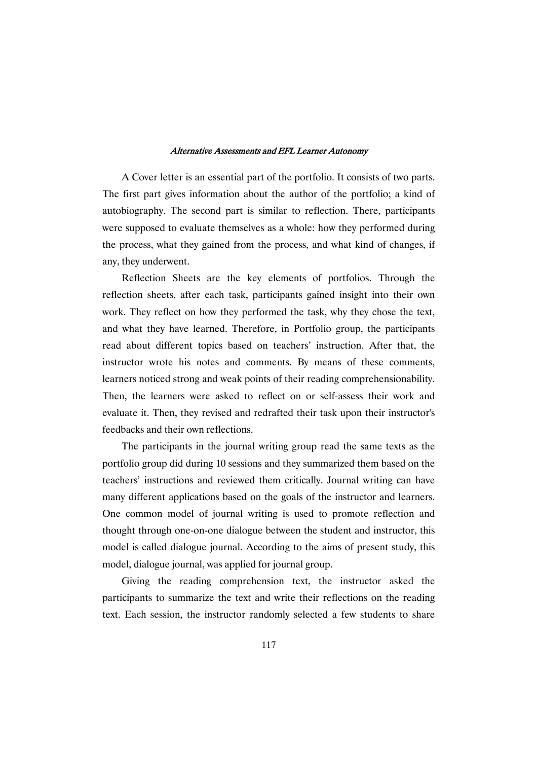A Cover letter is an essential part of the portfolio. It consists of two parts. The first part gives information about the author of the portfolio; a kind of autobiography. The second part is similar to reflection. There, participants were supposed to evaluate themselves as a whole: how they performed during the process, what they gained from the process, and what kind of changes, if any, they underwent.

Reflection Sheets are the key elements of portfolios. Through the reflection sheets, after each task, participants gained insight into their own work. They reflect on how they performed the task, why they chose the text, and what they have learned. Therefore, in Portfolio group, the participants read about different topics based on teachers' instruction. After that, the instructor wrote his notes and comments. By means of these comments, learners noticed strong and weak points of their reading comprehensionability. Then, the learners were asked to reflect on or self-assess their work and evaluate it. Then, they revised and redrafted their task upon their instructor's feedbacks and their own reflections.

The participants in the journal writing group read the same texts as the portfolio group did during 10 sessions and they summarized them based on the teachers' instructions and reviewed them critically. Journal writing can have many different applications based on the goals of the instructor and learners. One common model of journal writing is used to promote reflection and thought through one-on-one dialogue between the student and instructor, this model is called dialogue journal. According to the aims of present study, this model, dialogue journal, was applied for journal group.

Giving the reading comprehension text, the instructor asked the participants to summarize the text and write their reflections on the reading text. Each session, the instructor randomly selected a few students to share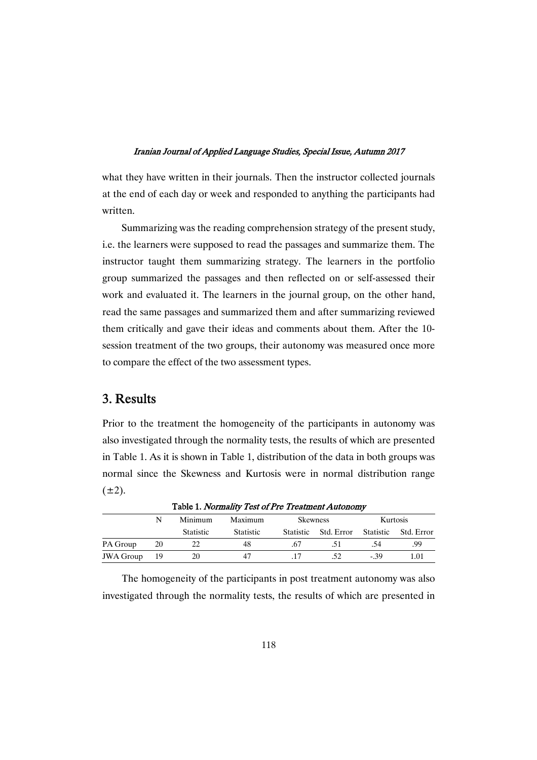what they have written in their journals. Then the instructor collected journals at the end of each day or week and responded to anything the participants had written.

Summarizing was the reading comprehension strategy of the present study, i.e. the learners were supposed to read the passages and summarize them. The instructor taught them summarizing strategy. The learners in the portfolio group summarized the passages and then reflected on or self-assessed their work and evaluated it. The learners in the journal group, on the other hand, read the same passages and summarized them and after summarizing reviewed them critically and gave their ideas and comments about them. After the 10 session treatment of the two groups, their autonomy was measured once more to compare the effect of the two assessment types.

## 3.Results

Prior to the treatment the homogeneity of the participants in autonomy was also investigated through the normality tests, the results of which are presented in Table 1. As it is shown in Table 1, distribution of the data in both groups was normal since the Skewness and Kurtosis were in normal distribution range  $(\pm 2)$ .

| Table 1. Normality Test of Pre Treatment Autonomy |      |                  |                  |                 |                      |                 |                      |  |
|---------------------------------------------------|------|------------------|------------------|-----------------|----------------------|-----------------|----------------------|--|
|                                                   | N    | Minimum          | Maximum          | <b>Skewness</b> |                      | <b>Kurtosis</b> |                      |  |
|                                                   |      | <b>Statistic</b> | <b>Statistic</b> |                 | Statistic Std. Error |                 | Statistic Std. Error |  |
| PA Group                                          | 20   | 22.              | 48               | .67             |                      |                 | .99                  |  |
| <b>JWA Group</b>                                  | - 19 | 20               | 47               |                 |                      | - 39            | 1.01                 |  |

The homogeneity of the participants in post treatment autonomy was also investigated through the normality tests, the results of which are presented in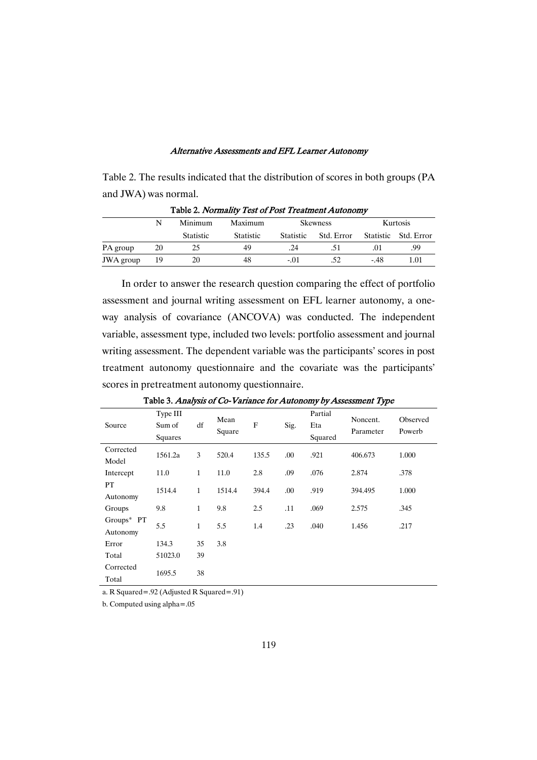Table 2. The results indicated that the distribution of scores in both groups (PA and JWA) was normal.

|           | Minimum |                  | Maximum          | <b>Skewness</b>  |            | Kurtosis  |              |  |  |
|-----------|---------|------------------|------------------|------------------|------------|-----------|--------------|--|--|
|           |         | <b>Statistic</b> | <b>Statistic</b> | <b>Statistic</b> | Std. Error | Statistic | - Std. Error |  |  |
| PA group  | 20      | 25               | 49               | .24              |            |           | .99          |  |  |
| JWA group | 19      | 20               | 48               | -.01             | .52        | -.48      | 1.01         |  |  |

Table 2. Normality Test of Post Treatment Autonomy

In order to answer the research question comparing the effect of portfolio assessment and journal writing assessment on EFL learner autonomy, a oneway analysis of covariance (ANCOVA) was conducted. The independent variable, assessment type, included two levels: portfolio assessment and journal writing assessment. The dependent variable was the participants' scores in post treatment autonomy questionnaire and the covariate was the participants' scores in pretreatment autonomy questionnaire.

| Source                    | Type III<br>Sum of<br>Squares | df           | Mean<br>Square | F     | Sig. | Partial<br>Eta<br>Squared | Noncent.<br>Parameter | Observed<br>Powerb |
|---------------------------|-------------------------------|--------------|----------------|-------|------|---------------------------|-----------------------|--------------------|
| Corrected<br>Model        | 1561.2a                       | 3            | 520.4          | 135.5 | .00  | .921                      | 406.673               | 1.000              |
| Intercept                 | 11.0                          | $\mathbf{1}$ | 11.0           | 2.8   | .09  | .076                      | 2.874                 | .378               |
| PT<br>Autonomy            | 1514.4                        | $\mathbf{1}$ | 1514.4         | 394.4 | .00  | .919                      | 394.495               | 1.000              |
| Groups                    | 9.8                           | $\mathbf{1}$ | 9.8            | 2.5   | .11  | .069                      | 2.575                 | .345               |
| Groups $*$ PT<br>Autonomy | 5.5                           | $\mathbf{1}$ | 5.5            | 1.4   | .23  | .040                      | 1.456                 | .217               |
| Error                     | 134.3                         | 35           | 3.8            |       |      |                           |                       |                    |
| Total                     | 51023.0                       | 39           |                |       |      |                           |                       |                    |
| Corrected<br>Total        | 1695.5                        | 38           |                |       |      |                           |                       |                    |

Table 3. Analysis of Co-Variance for Autonomy by Assessment Type

a. R Squared=.92 (Adjusted R Squared=.91)

b. Computed using alpha=.05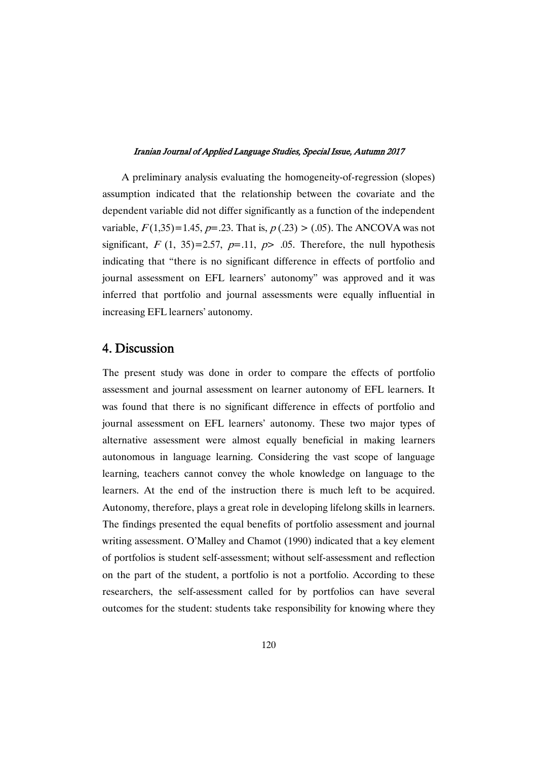A preliminary analysis evaluating the homogeneity-of-regression (slopes) assumption indicated that the relationship between the covariate and the dependent variable did not differ significantly as a function of the independent variable,  $F(1,35)=1.45$ ,  $p=.23$ . That is,  $p(.23) > (.05)$ . The ANCOVA was not significant,  $F(1, 35)=2.57$ ,  $p=.11$ ,  $p> .05$ . Therefore, the null hypothesis indicating that "there is no significant difference in effects of portfolio and journal assessment on EFL learners' autonomy" was approved and it was inferred that portfolio and journal assessments were equally influential in increasing EFL learners' autonomy.

### 4.Discussion

The present study was done in order to compare the effects of portfolio assessment and journal assessment on learner autonomy of EFL learners. It was found that there is no significant difference in effects of portfolio and journal assessment on EFL learners' autonomy. These two major types of alternative assessment were almost equally beneficial in making learners autonomous in language learning. Considering the vast scope of language learning, teachers cannot convey the whole knowledge on language to the learners. At the end of the instruction there is much left to be acquired. Autonomy, therefore, plays a great role in developing lifelong skills in learners. The findings presented the equal benefits of portfolio assessment and journal writing assessment. O'Malley and Chamot (1990) indicated that a key element of portfolios is student self-assessment; without self-assessment and reflection on the part of the student, a portfolio is not a portfolio. According to these researchers, the self-assessment called for by portfolios can have several outcomes for the student: students take responsibility for knowing where they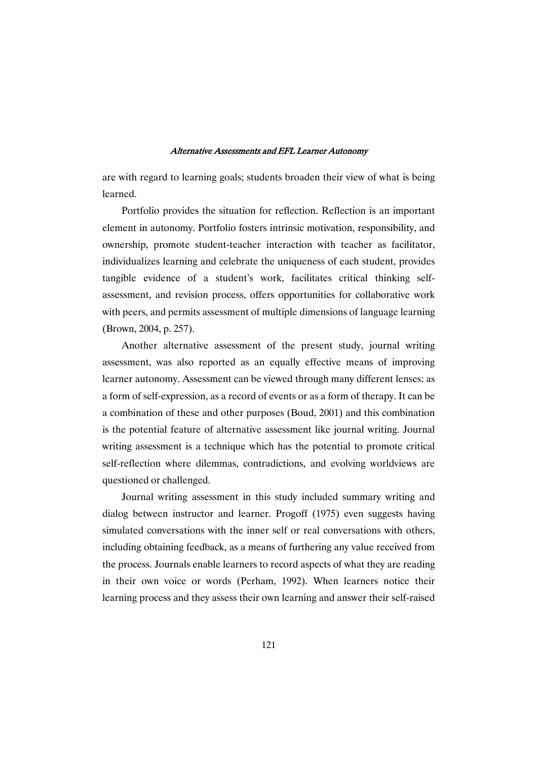are with regard to learning goals; students broaden their view of what is being learned.

Portfolio provides the situation for reflection. Reflection is an important element in autonomy. Portfolio fosters intrinsic motivation, responsibility, and ownership, promote student-teacher interaction with teacher as facilitator, individualizes learning and celebrate the uniqueness of each student, provides tangible evidence of a student's work, facilitates critical thinking selfassessment, and revision process, offers opportunities for collaborative work with peers, and permits assessment of multiple dimensions of language learning (Brown, 2004, p. 257).

Another alternative assessment of the present study, journal writing assessment, was also reported as an equally effective means of improving learner autonomy. Assessment can be viewed through many different lenses: as a form of self-expression, as a record of events or as a form of therapy. It can be a combination of these and other purposes (Boud, 2001) and this combination is the potential feature of alternative assessment like journal writing. Journal writing assessment is a technique which has the potential to promote critical self-reflection where dilemmas, contradictions, and evolving worldviews are questioned or challenged.

Journal writing assessment in this study included summary writing and dialog between instructor and learner. Progoff (1975) even suggests having simulated conversations with the inner self or real conversations with others, including obtaining feedback, as a means of furthering any value received from the process. Journals enable learners to record aspects of what they are reading in their own voice or words (Perham, 1992). When learners notice their learning process and they assess their own learning and answer their self-raised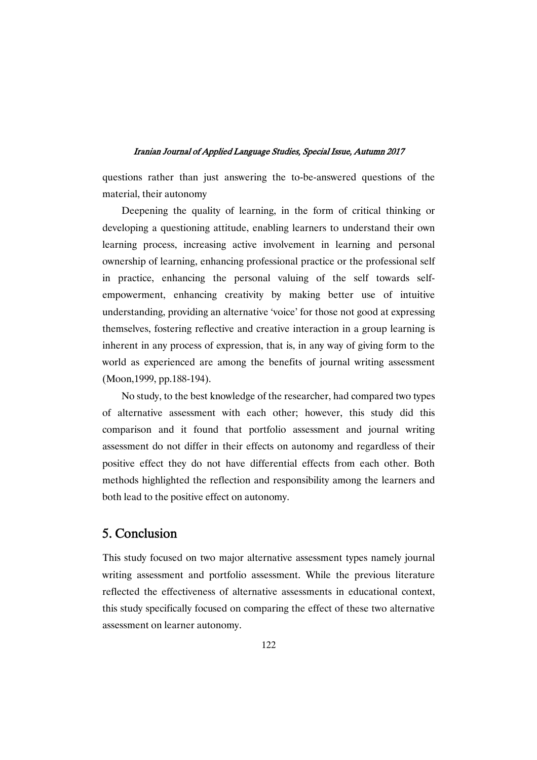questions rather than just answering the to-be-answered questions of the material, their autonomy

Deepening the quality of learning, in the form of critical thinking or developing a questioning attitude, enabling learners to understand their own learning process, increasing active involvement in learning and personal ownership of learning, enhancing professional practice or the professional self in practice, enhancing the personal valuing of the self towards selfempowerment, enhancing creativity by making better use of intuitive understanding, providing an alternative 'voice' for those not good at expressing themselves, fostering reflective and creative interaction in a group learning is inherent in any process of expression, that is, in any way of giving form to the world as experienced are among the benefits of journal writing assessment (Moon,1999, pp.188-194).

No study, to the best knowledge of the researcher, had compared two types of alternative assessment with each other; however, this study did this comparison and it found that portfolio assessment and journal writing assessment do not differ in their effects on autonomy and regardless of their positive effect they do not have differential effects from each other. Both methods highlighted the reflection and responsibility among the learners and both lead to the positive effect on autonomy.

## 5.Conclusion

This study focused on two major alternative assessment types namely journal writing assessment and portfolio assessment. While the previous literature reflected the effectiveness of alternative assessments in educational context, this study specifically focused on comparing the effect of these two alternative assessment on learner autonomy.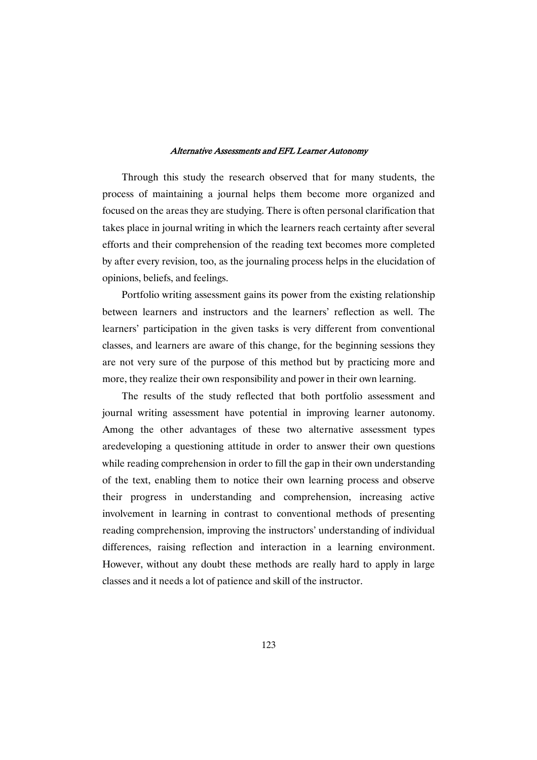Through this study the research observed that for many students, the process of maintaining a journal helps them become more organized and focused on the areas they are studying. There is often personal clarification that takes place in journal writing in which the learners reach certainty after several efforts and their comprehension of the reading text becomes more completed by after every revision, too, as the journaling process helps in the elucidation of opinions, beliefs, and feelings.

Portfolio writing assessment gains its power from the existing relationship between learners and instructors and the learners' reflection as well. The learners' participation in the given tasks is very different from conventional classes, and learners are aware of this change, for the beginning sessions they are not very sure of the purpose of this method but by practicing more and more, they realize their own responsibility and power in their own learning.

The results of the study reflected that both portfolio assessment and journal writing assessment have potential in improving learner autonomy. Among the other advantages of these two alternative assessment types aredeveloping a questioning attitude in order to answer their own questions while reading comprehension in order to fill the gap in their own understanding of the text, enabling them to notice their own learning process and observe their progress in understanding and comprehension, increasing active involvement in learning in contrast to conventional methods of presenting reading comprehension, improving the instructors' understanding of individual differences, raising reflection and interaction in a learning environment. However, without any doubt these methods are really hard to apply in large classes and it needs a lot of patience and skill of the instructor.